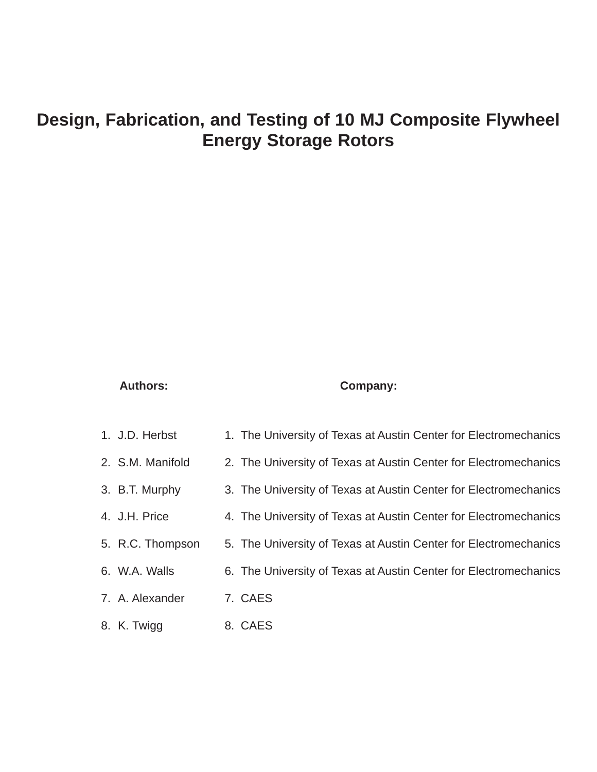# **Design, Fabrication, and Testing of 10 MJ Composite Flywheel Energy Storage Rotors**

# **Authors: Company:**

| 1. J.D. Herbst   | 1. The University of Texas at Austin Center for Electromechanics |
|------------------|------------------------------------------------------------------|
| 2. S.M. Manifold | 2. The University of Texas at Austin Center for Electromechanics |
| 3. B.T. Murphy   | 3. The University of Texas at Austin Center for Electromechanics |
| 4. J.H. Price    | 4. The University of Texas at Austin Center for Electromechanics |
| 5. R.C. Thompson | 5. The University of Texas at Austin Center for Electromechanics |
| 6. W.A. Walls    | 6. The University of Texas at Austin Center for Electromechanics |
| 7. A. Alexander  | 7. CAES                                                          |
| 8. K. Twigg      | 8. CAES                                                          |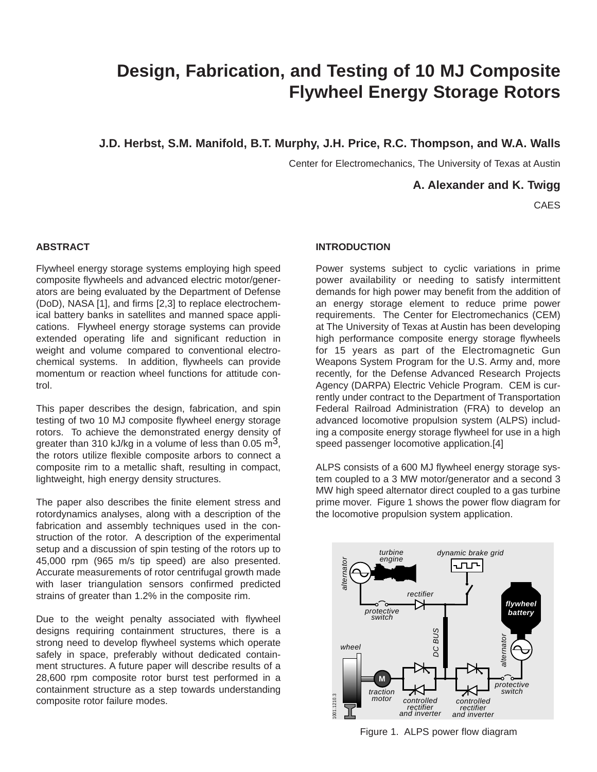# **Design, Fabrication, and Testing of 10 MJ Composite Flywheel Energy Storage Rotors**

**J.D. Herbst, S.M. Manifold, B.T. Murphy, J.H. Price, R.C. Thompson, and W.A. Walls**

Center for Electromechanics, The University of Texas at Austin

**A. Alexander and K. Twigg**

CAES

# **ABSTRACT**

Flywheel energy storage systems employing high speed composite flywheels and advanced electric motor/generators are being evaluated by the Department of Defense (DoD), NASA [1], and firms [2,3] to replace electrochemical battery banks in satellites and manned space applications. Flywheel energy storage systems can provide extended operating life and significant reduction in weight and volume compared to conventional electrochemical systems. In addition, flywheels can provide momentum or reaction wheel functions for attitude control.

This paper describes the design, fabrication, and spin testing of two 10 MJ composite flywheel energy storage rotors. To achieve the demonstrated energy density of greater than 310 kJ/kg in a volume of less than 0.05 m<sup>3</sup>, the rotors utilize flexible composite arbors to connect a composite rim to a metallic shaft, resulting in compact, lightweight, high energy density structures.

The paper also describes the finite element stress and rotordynamics analyses, along with a description of the fabrication and assembly techniques used in the construction of the rotor. A description of the experimental setup and a discussion of spin testing of the rotors up to 45,000 rpm (965 m/s tip speed) are also presented. Accurate measurements of rotor centrifugal growth made with laser triangulation sensors confirmed predicted strains of greater than 1.2% in the composite rim.

Due to the weight penalty associated with flywheel designs requiring containment structures, there is a strong need to develop flywheel systems which operate safely in space, preferably without dedicated containment structures. A future paper will describe results of a 28,600 rpm composite rotor burst test performed in a containment structure as a step towards understanding composite rotor failure modes.

# **INTRODUCTION**

Power systems subject to cyclic variations in prime power availability or needing to satisfy intermittent demands for high power may benefit from the addition of an energy storage element to reduce prime power requirements. The Center for Electromechanics (CEM) at The University of Texas at Austin has been developing high performance composite energy storage flywheels for 15 years as part of the Electromagnetic Gun Weapons System Program for the U.S. Army and, more recently, for the Defense Advanced Research Projects Agency (DARPA) Electric Vehicle Program. CEM is currently under contract to the Department of Transportation Federal Railroad Administration (FRA) to develop an advanced locomotive propulsion system (ALPS) including a composite energy storage flywheel for use in a high speed passenger locomotive application.[4]

ALPS consists of a 600 MJ flywheel energy storage system coupled to a 3 MW motor/generator and a second 3 MW high speed alternator direct coupled to a gas turbine prime mover. Figure 1 shows the power flow diagram for the locomotive propulsion system application.



Figure 1. ALPS power flow diagram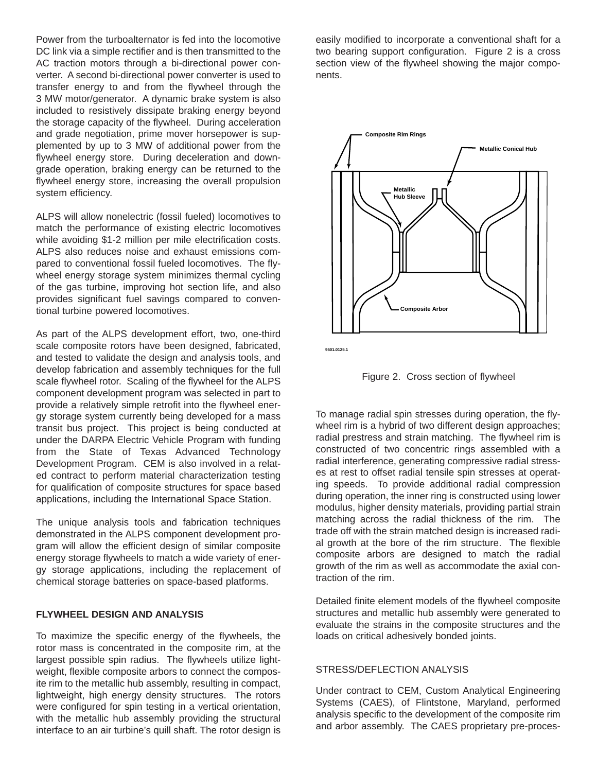Power from the turboalternator is fed into the locomotive DC link via a simple rectifier and is then transmitted to the AC traction motors through a bi-directional power converter. A second bi-directional power converter is used to transfer energy to and from the flywheel through the 3 MW motor/generator. A dynamic brake system is also included to resistively dissipate braking energy beyond the storage capacity of the flywheel. During acceleration and grade negotiation, prime mover horsepower is supplemented by up to 3 MW of additional power from the flywheel energy store. During deceleration and downgrade operation, braking energy can be returned to the flywheel energy store, increasing the overall propulsion system efficiency.

ALPS will allow nonelectric (fossil fueled) locomotives to match the performance of existing electric locomotives while avoiding \$1-2 million per mile electrification costs. ALPS also reduces noise and exhaust emissions compared to conventional fossil fueled locomotives. The flywheel energy storage system minimizes thermal cycling of the gas turbine, improving hot section life, and also provides significant fuel savings compared to conventional turbine powered locomotives.

As part of the ALPS development effort, two, one-third scale composite rotors have been designed, fabricated, and tested to validate the design and analysis tools, and develop fabrication and assembly techniques for the full scale flywheel rotor. Scaling of the flywheel for the ALPS component development program was selected in part to provide a relatively simple retrofit into the flywheel energy storage system currently being developed for a mass transit bus project. This project is being conducted at under the DARPA Electric Vehicle Program with funding from the State of Texas Advanced Technology Development Program. CEM is also involved in a related contract to perform material characterization testing for qualification of composite structures for space based applications, including the International Space Station.

The unique analysis tools and fabrication techniques demonstrated in the ALPS component development program will allow the efficient design of similar composite energy storage flywheels to match a wide variety of energy storage applications, including the replacement of chemical storage batteries on space-based platforms.

### **FLYWHEEL DESIGN AND ANALYSIS**

To maximize the specific energy of the flywheels, the rotor mass is concentrated in the composite rim, at the largest possible spin radius. The flywheels utilize lightweight, flexible composite arbors to connect the composite rim to the metallic hub assembly, resulting in compact, lightweight, high energy density structures. The rotors were configured for spin testing in a vertical orientation, with the metallic hub assembly providing the structural interface to an air turbine's quill shaft. The rotor design is easily modified to incorporate a conventional shaft for a two bearing support configuration. Figure 2 is a cross section view of the flywheel showing the major components.



**9501.0125.1**



To manage radial spin stresses during operation, the flywheel rim is a hybrid of two different design approaches; radial prestress and strain matching. The flywheel rim is constructed of two concentric rings assembled with a radial interference, generating compressive radial stresses at rest to offset radial tensile spin stresses at operating speeds. To provide additional radial compression during operation, the inner ring is constructed using lower modulus, higher density materials, providing partial strain matching across the radial thickness of the rim. The trade off with the strain matched design is increased radial growth at the bore of the rim structure. The flexible composite arbors are designed to match the radial growth of the rim as well as accommodate the axial contraction of the rim.

Detailed finite element models of the flywheel composite structures and metallic hub assembly were generated to evaluate the strains in the composite structures and the loads on critical adhesively bonded joints.

#### STRESS/DEFLECTION ANALYSIS

Under contract to CEM, Custom Analytical Engineering Systems (CAES), of Flintstone, Maryland, performed analysis specific to the development of the composite rim and arbor assembly. The CAES proprietary pre-proces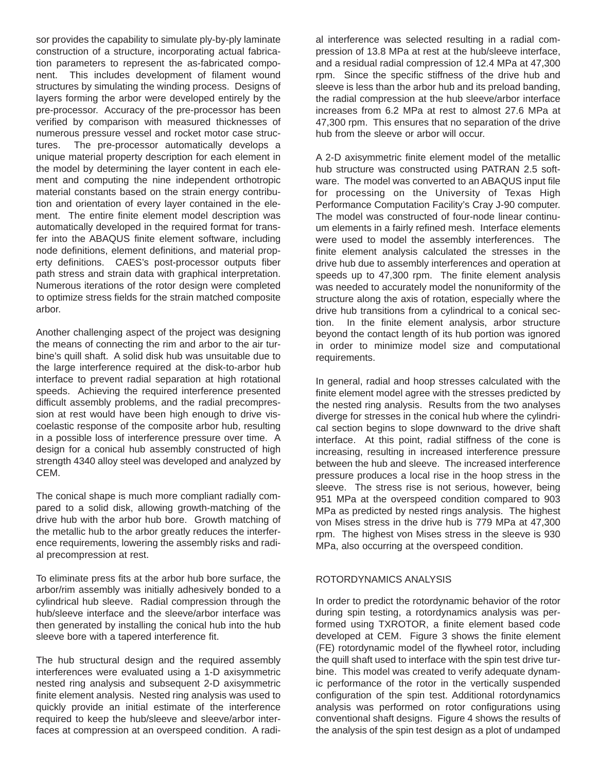sor provides the capability to simulate ply-by-ply laminate construction of a structure, incorporating actual fabrication parameters to represent the as-fabricated component. This includes development of filament wound structures by simulating the winding process. Designs of layers forming the arbor were developed entirely by the pre-processor. Accuracy of the pre-processor has been verified by comparison with measured thicknesses of numerous pressure vessel and rocket motor case structures. The pre-processor automatically develops a unique material property description for each element in the model by determining the layer content in each element and computing the nine independent orthotropic material constants based on the strain energy contribution and orientation of every layer contained in the element. The entire finite element model description was automatically developed in the required format for transfer into the ABAQUS finite element software, including node definitions, element definitions, and material property definitions. CAES's post-processor outputs fiber path stress and strain data with graphical interpretation. Numerous iterations of the rotor design were completed to optimize stress fields for the strain matched composite arbor.

Another challenging aspect of the project was designing the means of connecting the rim and arbor to the air turbine's quill shaft. A solid disk hub was unsuitable due to the large interference required at the disk-to-arbor hub interface to prevent radial separation at high rotational speeds. Achieving the required interference presented difficult assembly problems, and the radial precompression at rest would have been high enough to drive viscoelastic response of the composite arbor hub, resulting in a possible loss of interference pressure over time. A design for a conical hub assembly constructed of high strength 4340 alloy steel was developed and analyzed by CEM.

The conical shape is much more compliant radially compared to a solid disk, allowing growth-matching of the drive hub with the arbor hub bore. Growth matching of the metallic hub to the arbor greatly reduces the interference requirements, lowering the assembly risks and radial precompression at rest.

To eliminate press fits at the arbor hub bore surface, the arbor/rim assembly was initially adhesively bonded to a cylindrical hub sleeve. Radial compression through the hub/sleeve interface and the sleeve/arbor interface was then generated by installing the conical hub into the hub sleeve bore with a tapered interference fit.

The hub structural design and the required assembly interferences were evaluated using a 1-D axisymmetric nested ring analysis and subsequent 2-D axisymmetric finite element analysis. Nested ring analysis was used to quickly provide an initial estimate of the interference required to keep the hub/sleeve and sleeve/arbor interfaces at compression at an overspeed condition. A radial interference was selected resulting in a radial compression of 13.8 MPa at rest at the hub/sleeve interface, and a residual radial compression of 12.4 MPa at 47,300 rpm. Since the specific stiffness of the drive hub and sleeve is less than the arbor hub and its preload banding, the radial compression at the hub sleeve/arbor interface increases from 6.2 MPa at rest to almost 27.6 MPa at 47,300 rpm. This ensures that no separation of the drive hub from the sleeve or arbor will occur.

A 2-D axisymmetric finite element model of the metallic hub structure was constructed using PATRAN 2.5 software. The model was converted to an ABAQUS input file for processing on the University of Texas High Performance Computation Facility's Cray J-90 computer. The model was constructed of four-node linear continuum elements in a fairly refined mesh. Interface elements were used to model the assembly interferences. The finite element analysis calculated the stresses in the drive hub due to assembly interferences and operation at speeds up to 47,300 rpm. The finite element analysis was needed to accurately model the nonuniformity of the structure along the axis of rotation, especially where the drive hub transitions from a cylindrical to a conical section. In the finite element analysis, arbor structure beyond the contact length of its hub portion was ignored in order to minimize model size and computational requirements.

In general, radial and hoop stresses calculated with the finite element model agree with the stresses predicted by the nested ring analysis. Results from the two analyses diverge for stresses in the conical hub where the cylindrical section begins to slope downward to the drive shaft interface. At this point, radial stiffness of the cone is increasing, resulting in increased interference pressure between the hub and sleeve. The increased interference pressure produces a local rise in the hoop stress in the sleeve. The stress rise is not serious, however, being 951 MPa at the overspeed condition compared to 903 MPa as predicted by nested rings analysis. The highest von Mises stress in the drive hub is 779 MPa at 47,300 rpm. The highest von Mises stress in the sleeve is 930 MPa, also occurring at the overspeed condition.

## ROTORDYNAMICS ANALYSIS

In order to predict the rotordynamic behavior of the rotor during spin testing, a rotordynamics analysis was performed using TXROTOR, a finite element based code developed at CEM. Figure 3 shows the finite element (FE) rotordynamic model of the flywheel rotor, including the quill shaft used to interface with the spin test drive turbine. This model was created to verify adequate dynamic performance of the rotor in the vertically suspended configuration of the spin test. Additional rotordynamics analysis was performed on rotor configurations using conventional shaft designs. Figure 4 shows the results of the analysis of the spin test design as a plot of undamped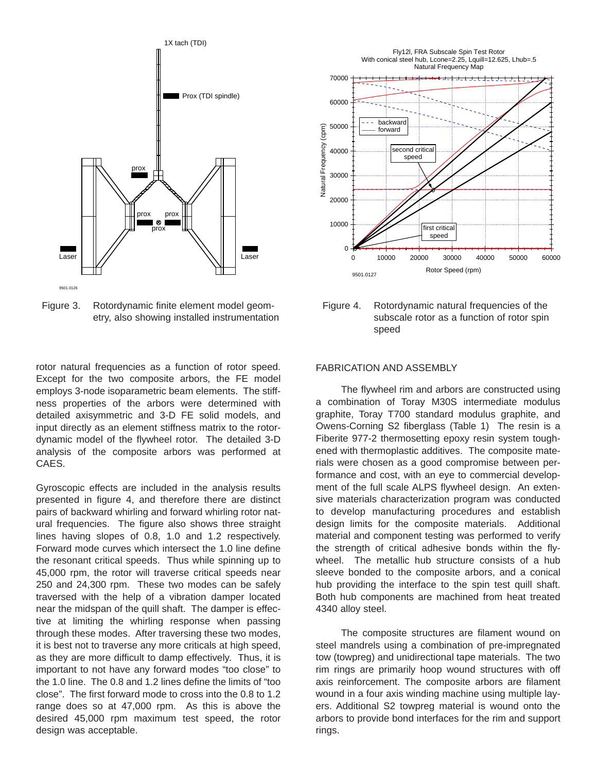

Figure 3. Rotordynamic finite element model geometry, also showing installed instrumentation

rotor natural frequencies as a function of rotor speed. Except for the two composite arbors, the FE model employs 3-node isoparametric beam elements. The stiffness properties of the arbors were determined with detailed axisymmetric and 3-D FE solid models, and input directly as an element stiffness matrix to the rotordynamic model of the flywheel rotor. The detailed 3-D analysis of the composite arbors was performed at CAES.

Gyroscopic effects are included in the analysis results presented in figure 4, and therefore there are distinct pairs of backward whirling and forward whirling rotor natural frequencies. The figure also shows three straight lines having slopes of 0.8, 1.0 and 1.2 respectively. Forward mode curves which intersect the 1.0 line define the resonant critical speeds. Thus while spinning up to 45,000 rpm, the rotor will traverse critical speeds near 250 and 24,300 rpm. These two modes can be safely traversed with the help of a vibration damper located near the midspan of the quill shaft. The damper is effective at limiting the whirling response when passing through these modes. After traversing these two modes, it is best not to traverse any more criticals at high speed, as they are more difficult to damp effectively. Thus, it is important to not have any forward modes "too close" to the 1.0 line. The 0.8 and 1.2 lines define the limits of "too close". The first forward mode to cross into the 0.8 to 1.2 range does so at 47,000 rpm. As this is above the desired 45,000 rpm maximum test speed, the rotor design was acceptable.



Figure 4. Rotordynamic natural frequencies of the subscale rotor as a function of rotor spin speed

#### FABRICATION AND ASSEMBLY

The flywheel rim and arbors are constructed using a combination of Toray M30S intermediate modulus graphite, Toray T700 standard modulus graphite, and Owens-Corning S2 fiberglass (Table 1) The resin is a Fiberite 977-2 thermosetting epoxy resin system toughened with thermoplastic additives. The composite materials were chosen as a good compromise between performance and cost, with an eye to commercial development of the full scale ALPS flywheel design. An extensive materials characterization program was conducted to develop manufacturing procedures and establish design limits for the composite materials. Additional material and component testing was performed to verify the strength of critical adhesive bonds within the flywheel. The metallic hub structure consists of a hub sleeve bonded to the composite arbors, and a conical hub providing the interface to the spin test quill shaft. Both hub components are machined from heat treated 4340 alloy steel.

The composite structures are filament wound on steel mandrels using a combination of pre-impregnated tow (towpreg) and unidirectional tape materials. The two rim rings are primarily hoop wound structures with off axis reinforcement. The composite arbors are filament wound in a four axis winding machine using multiple layers. Additional S2 towpreg material is wound onto the arbors to provide bond interfaces for the rim and support rings.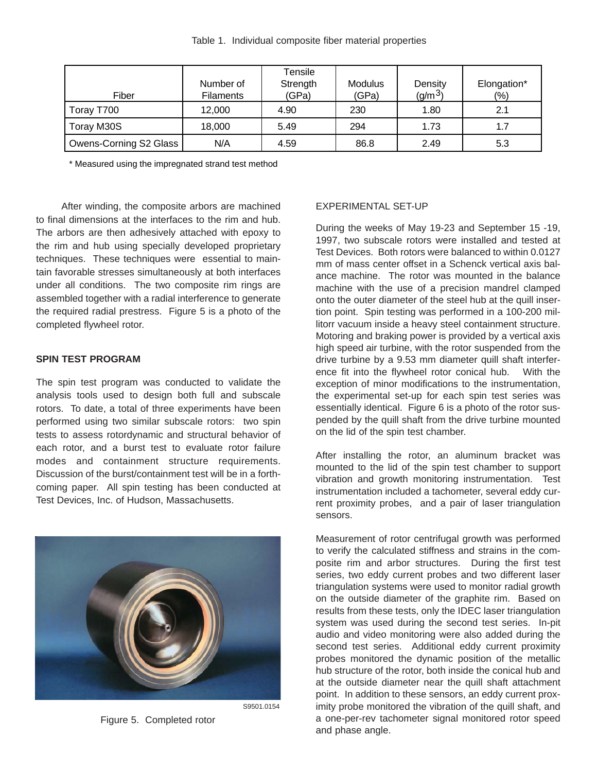| Fiber                  | Number of<br><b>Filaments</b> | Tensile<br>Strength<br>(GPa) | <b>Modulus</b><br>(GPa) | Density<br>$(q/m^3)$ | Elongation*<br>(9/0) |
|------------------------|-------------------------------|------------------------------|-------------------------|----------------------|----------------------|
| Toray T700             | 12,000                        | 4.90                         | 230                     | 1.80                 | 2.1                  |
| Toray M30S             | 18,000                        | 5.49                         | 294                     | 1.73                 | 1.7                  |
| Owens-Corning S2 Glass | N/A                           | 4.59                         | 86.8                    | 2.49                 | 5.3                  |

\* Measured using the impregnated strand test method

After winding, the composite arbors are machined to final dimensions at the interfaces to the rim and hub. The arbors are then adhesively attached with epoxy to the rim and hub using specially developed proprietary techniques. These techniques were essential to maintain favorable stresses simultaneously at both interfaces under all conditions. The two composite rim rings are assembled together with a radial interference to generate the required radial prestress. Figure 5 is a photo of the completed flywheel rotor.

# **SPIN TEST PROGRAM**

The spin test program was conducted to validate the analysis tools used to design both full and subscale rotors. To date, a total of three experiments have been performed using two similar subscale rotors: two spin tests to assess rotordynamic and structural behavior of each rotor, and a burst test to evaluate rotor failure modes and containment structure requirements. Discussion of the burst/containment test will be in a forthcoming paper. All spin testing has been conducted at Test Devices, Inc. of Hudson, Massachusetts.



S9501.0154

Figure 5. Completed rotor

### EXPERIMENTAL SET-UP

During the weeks of May 19-23 and September 15 -19, 1997, two subscale rotors were installed and tested at Test Devices. Both rotors were balanced to within 0.0127 mm of mass center offset in a Schenck vertical axis balance machine. The rotor was mounted in the balance machine with the use of a precision mandrel clamped onto the outer diameter of the steel hub at the quill insertion point. Spin testing was performed in a 100-200 millitorr vacuum inside a heavy steel containment structure. Motoring and braking power is provided by a vertical axis high speed air turbine, with the rotor suspended from the drive turbine by a 9.53 mm diameter quill shaft interference fit into the flywheel rotor conical hub. With the exception of minor modifications to the instrumentation, the experimental set-up for each spin test series was essentially identical. Figure 6 is a photo of the rotor suspended by the quill shaft from the drive turbine mounted on the lid of the spin test chamber.

After installing the rotor, an aluminum bracket was mounted to the lid of the spin test chamber to support vibration and growth monitoring instrumentation. Test instrumentation included a tachometer, several eddy current proximity probes, and a pair of laser triangulation sensors.

Measurement of rotor centrifugal growth was performed to verify the calculated stiffness and strains in the composite rim and arbor structures. During the first test series, two eddy current probes and two different laser triangulation systems were used to monitor radial growth on the outside diameter of the graphite rim. Based on results from these tests, only the IDEC laser triangulation system was used during the second test series. In-pit audio and video monitoring were also added during the second test series. Additional eddy current proximity probes monitored the dynamic position of the metallic hub structure of the rotor, both inside the conical hub and at the outside diameter near the quill shaft attachment point. In addition to these sensors, an eddy current proximity probe monitored the vibration of the quill shaft, and a one-per-rev tachometer signal monitored rotor speed and phase angle.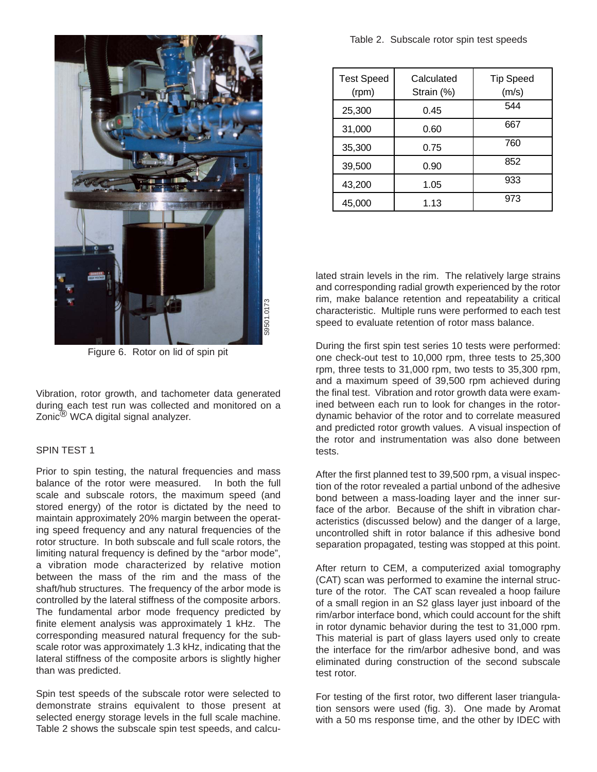

Figure 6. Rotor on lid of spin pit

Vibration, rotor growth, and tachometer data generated during each test run was collected and monitored on a Zonic $^{\textcircled{\textcircled{\tiny{R}}}}$  WCA digital signal analyzer.

# SPIN TEST 1

Prior to spin testing, the natural frequencies and mass balance of the rotor were measured. In both the full scale and subscale rotors, the maximum speed (and stored energy) of the rotor is dictated by the need to maintain approximately 20% margin between the operating speed frequency and any natural frequencies of the rotor structure. In both subscale and full scale rotors, the limiting natural frequency is defined by the "arbor mode", a vibration mode characterized by relative motion between the mass of the rim and the mass of the shaft/hub structures. The frequency of the arbor mode is controlled by the lateral stiffness of the composite arbors. The fundamental arbor mode frequency predicted by finite element analysis was approximately 1 kHz. The corresponding measured natural frequency for the subscale rotor was approximately 1.3 kHz, indicating that the lateral stiffness of the composite arbors is slightly higher than was predicted.

Spin test speeds of the subscale rotor were selected to demonstrate strains equivalent to those present at selected energy storage levels in the full scale machine. Table 2 shows the subscale spin test speeds, and calcu-

| <b>Test Speed</b><br>(rpm) | Calculated<br>Strain (%) | <b>Tip Speed</b><br>(m/s) |
|----------------------------|--------------------------|---------------------------|
| 25,300                     | 0.45                     | 544                       |
| 31,000                     | 0.60                     | 667                       |
| 35,300                     | 0.75                     | 760                       |
| 39,500                     | 0.90                     | 852                       |
| 43,200                     | 1.05                     | 933                       |
| 45,000                     | 1.13                     | 973                       |

lated strain levels in the rim. The relatively large strains and corresponding radial growth experienced by the rotor rim, make balance retention and repeatability a critical characteristic. Multiple runs were performed to each test speed to evaluate retention of rotor mass balance.

During the first spin test series 10 tests were performed: one check-out test to 10,000 rpm, three tests to 25,300 rpm, three tests to 31,000 rpm, two tests to 35,300 rpm, and a maximum speed of 39,500 rpm achieved during the final test. Vibration and rotor growth data were examined between each run to look for changes in the rotordynamic behavior of the rotor and to correlate measured and predicted rotor growth values. A visual inspection of the rotor and instrumentation was also done between tests.

After the first planned test to 39,500 rpm, a visual inspection of the rotor revealed a partial unbond of the adhesive bond between a mass-loading layer and the inner surface of the arbor. Because of the shift in vibration characteristics (discussed below) and the danger of a large, uncontrolled shift in rotor balance if this adhesive bond separation propagated, testing was stopped at this point.

After return to CEM, a computerized axial tomography (CAT) scan was performed to examine the internal structure of the rotor. The CAT scan revealed a hoop failure of a small region in an S2 glass layer just inboard of the rim/arbor interface bond, which could account for the shift in rotor dynamic behavior during the test to 31,000 rpm. This material is part of glass layers used only to create the interface for the rim/arbor adhesive bond, and was eliminated during construction of the second subscale test rotor.

For testing of the first rotor, two different laser triangulation sensors were used (fig. 3). One made by Aromat with a 50 ms response time, and the other by IDEC with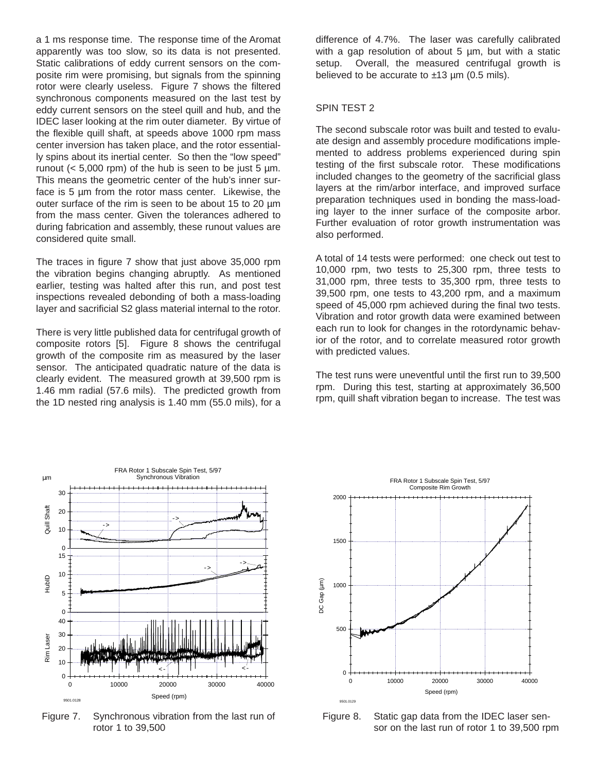a 1 ms response time. The response time of the Aromat apparently was too slow, so its data is not presented. Static calibrations of eddy current sensors on the composite rim were promising, but signals from the spinning rotor were clearly useless. Figure 7 shows the filtered synchronous components measured on the last test by eddy current sensors on the steel quill and hub, and the IDEC laser looking at the rim outer diameter. By virtue of the flexible quill shaft, at speeds above 1000 rpm mass center inversion has taken place, and the rotor essentially spins about its inertial center. So then the "low speed" runout  $( $5,000$  rpm) of the hub is seen to be just 5 µm.$ This means the geometric center of the hub's inner surface is 5 µm from the rotor mass center. Likewise, the outer surface of the rim is seen to be about 15 to 20 µm from the mass center. Given the tolerances adhered to during fabrication and assembly, these runout values are considered quite small.

The traces in figure 7 show that just above 35,000 rpm the vibration begins changing abruptly. As mentioned earlier, testing was halted after this run, and post test inspections revealed debonding of both a mass-loading layer and sacrificial S2 glass material internal to the rotor.

There is very little published data for centrifugal growth of composite rotors [5]. Figure 8 shows the centrifugal growth of the composite rim as measured by the laser sensor. The anticipated quadratic nature of the data is clearly evident. The measured growth at 39,500 rpm is 1.46 mm radial (57.6 mils). The predicted growth from the 1D nested ring analysis is 1.40 mm (55.0 mils), for a

difference of 4.7%. The laser was carefully calibrated with a gap resolution of about 5 um, but with a static setup. Overall, the measured centrifugal growth is believed to be accurate to  $±13 \mu m$  (0.5 mils).

# SPIN TEST 2

The second subscale rotor was built and tested to evaluate design and assembly procedure modifications implemented to address problems experienced during spin testing of the first subscale rotor. These modifications included changes to the geometry of the sacrificial glass layers at the rim/arbor interface, and improved surface preparation techniques used in bonding the mass-loading layer to the inner surface of the composite arbor. Further evaluation of rotor growth instrumentation was also performed.

A total of 14 tests were performed: one check out test to 10,000 rpm, two tests to 25,300 rpm, three tests to 31,000 rpm, three tests to 35,300 rpm, three tests to 39,500 rpm, one tests to 43,200 rpm, and a maximum speed of 45,000 rpm achieved during the final two tests. Vibration and rotor growth data were examined between each run to look for changes in the rotordynamic behavior of the rotor, and to correlate measured rotor growth with predicted values.

The test runs were uneventful until the first run to 39,500 rpm. During this test, starting at approximately 36,500 rpm, quill shaft vibration began to increase. The test was



Figure 7. Synchronous vibration from the last run of rotor 1 to 39,500



Figure 8. Static gap data from the IDEC laser sensor on the last run of rotor 1 to 39,500 rpm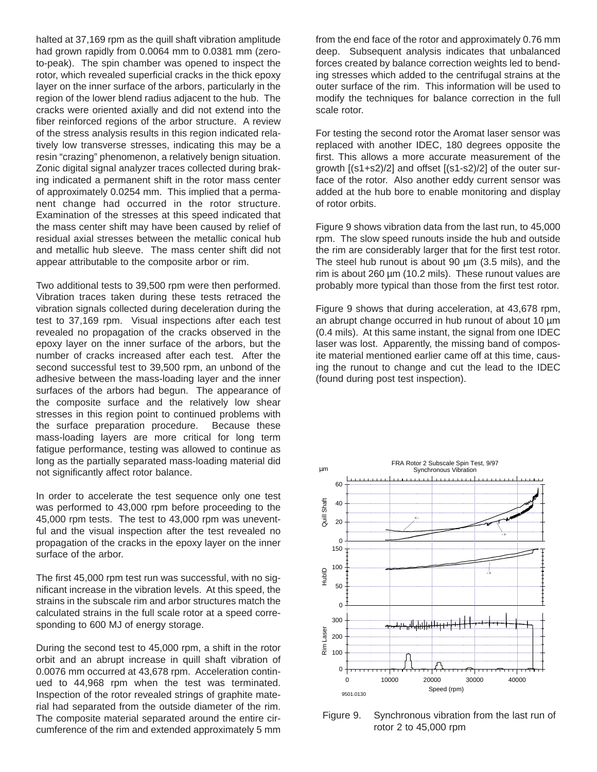halted at 37,169 rpm as the quill shaft vibration amplitude had grown rapidly from 0.0064 mm to 0.0381 mm (zeroto-peak). The spin chamber was opened to inspect the rotor, which revealed superficial cracks in the thick epoxy layer on the inner surface of the arbors, particularly in the region of the lower blend radius adjacent to the hub. The cracks were oriented axially and did not extend into the fiber reinforced regions of the arbor structure. A review of the stress analysis results in this region indicated relatively low transverse stresses, indicating this may be a resin "crazing" phenomenon, a relatively benign situation. Zonic digital signal analyzer traces collected during braking indicated a permanent shift in the rotor mass center of approximately 0.0254 mm. This implied that a permanent change had occurred in the rotor structure. Examination of the stresses at this speed indicated that the mass center shift may have been caused by relief of residual axial stresses between the metallic conical hub and metallic hub sleeve. The mass center shift did not appear attributable to the composite arbor or rim.

Two additional tests to 39,500 rpm were then performed. Vibration traces taken during these tests retraced the vibration signals collected during deceleration during the test to 37,169 rpm. Visual inspections after each test revealed no propagation of the cracks observed in the epoxy layer on the inner surface of the arbors, but the number of cracks increased after each test. After the second successful test to 39,500 rpm, an unbond of the adhesive between the mass-loading layer and the inner surfaces of the arbors had begun. The appearance of the composite surface and the relatively low shear stresses in this region point to continued problems with the surface preparation procedure. Because these mass-loading layers are more critical for long term fatigue performance, testing was allowed to continue as long as the partially separated mass-loading material did not significantly affect rotor balance.

In order to accelerate the test sequence only one test was performed to 43,000 rpm before proceeding to the 45,000 rpm tests. The test to 43,000 rpm was uneventful and the visual inspection after the test revealed no propagation of the cracks in the epoxy layer on the inner surface of the arbor.

The first 45,000 rpm test run was successful, with no significant increase in the vibration levels. At this speed, the strains in the subscale rim and arbor structures match the calculated strains in the full scale rotor at a speed corresponding to 600 MJ of energy storage.

During the second test to 45,000 rpm, a shift in the rotor orbit and an abrupt increase in quill shaft vibration of 0.0076 mm occurred at 43,678 rpm. Acceleration continued to 44,968 rpm when the test was terminated. Inspection of the rotor revealed strings of graphite material had separated from the outside diameter of the rim. The composite material separated around the entire circumference of the rim and extended approximately 5 mm from the end face of the rotor and approximately 0.76 mm deep. Subsequent analysis indicates that unbalanced forces created by balance correction weights led to bending stresses which added to the centrifugal strains at the outer surface of the rim. This information will be used to modify the techniques for balance correction in the full scale rotor.

For testing the second rotor the Aromat laser sensor was replaced with another IDEC, 180 degrees opposite the first. This allows a more accurate measurement of the growth [(s1+s2)/2] and offset [(s1-s2)/2] of the outer surface of the rotor. Also another eddy current sensor was added at the hub bore to enable monitoring and display of rotor orbits.

Figure 9 shows vibration data from the last run, to 45,000 rpm. The slow speed runouts inside the hub and outside the rim are considerably larger that for the first test rotor. The steel hub runout is about 90 µm (3.5 mils), and the rim is about 260 µm (10.2 mils). These runout values are probably more typical than those from the first test rotor.

Figure 9 shows that during acceleration, at 43,678 rpm, an abrupt change occurred in hub runout of about 10 µm (0.4 mils). At this same instant, the signal from one IDEC laser was lost. Apparently, the missing band of composite material mentioned earlier came off at this time, causing the runout to change and cut the lead to the IDEC (found during post test inspection).



Figure 9. Synchronous vibration from the last run of rotor 2 to 45,000 rpm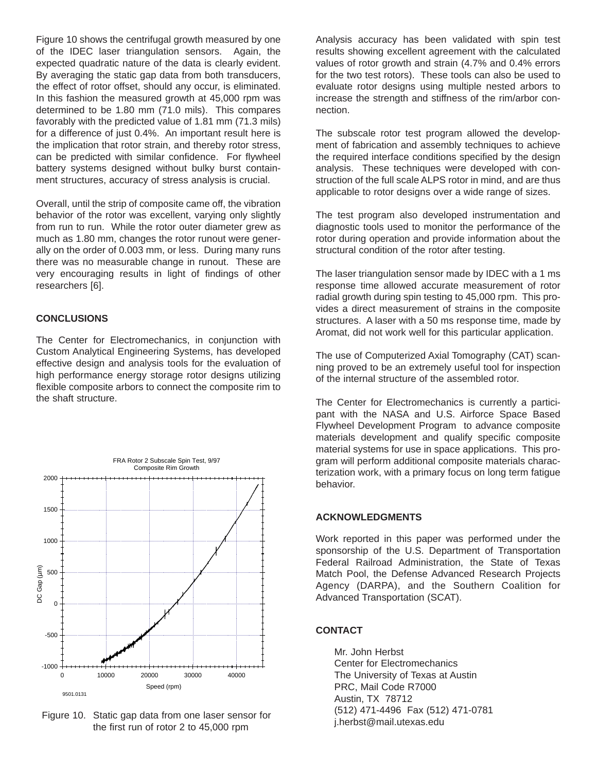Figure 10 shows the centrifugal growth measured by one of the IDEC laser triangulation sensors. Again, the expected quadratic nature of the data is clearly evident. By averaging the static gap data from both transducers, the effect of rotor offset, should any occur, is eliminated. In this fashion the measured growth at 45,000 rpm was determined to be 1.80 mm (71.0 mils). This compares favorably with the predicted value of 1.81 mm (71.3 mils) for a difference of just 0.4%. An important result here is the implication that rotor strain, and thereby rotor stress, can be predicted with similar confidence. For flywheel battery systems designed without bulky burst containment structures, accuracy of stress analysis is crucial.

Overall, until the strip of composite came off, the vibration behavior of the rotor was excellent, varying only slightly from run to run. While the rotor outer diameter grew as much as 1.80 mm, changes the rotor runout were generally on the order of 0.003 mm, or less. During many runs there was no measurable change in runout. These are very encouraging results in light of findings of other researchers [6].

# **CONCLUSIONS**

The Center for Electromechanics, in conjunction with Custom Analytical Engineering Systems, has developed effective design and analysis tools for the evaluation of high performance energy storage rotor designs utilizing flexible composite arbors to connect the composite rim to the shaft structure.



Figure 10. Static gap data from one laser sensor for the first run of rotor 2 to 45,000 rpm

Analysis accuracy has been validated with spin test results showing excellent agreement with the calculated values of rotor growth and strain (4.7% and 0.4% errors for the two test rotors). These tools can also be used to evaluate rotor designs using multiple nested arbors to increase the strength and stiffness of the rim/arbor connection.

The subscale rotor test program allowed the development of fabrication and assembly techniques to achieve the required interface conditions specified by the design analysis. These techniques were developed with construction of the full scale ALPS rotor in mind, and are thus applicable to rotor designs over a wide range of sizes.

The test program also developed instrumentation and diagnostic tools used to monitor the performance of the rotor during operation and provide information about the structural condition of the rotor after testing.

The laser triangulation sensor made by IDEC with a 1 ms response time allowed accurate measurement of rotor radial growth during spin testing to 45,000 rpm. This provides a direct measurement of strains in the composite structures. A laser with a 50 ms response time, made by Aromat, did not work well for this particular application.

The use of Computerized Axial Tomography (CAT) scanning proved to be an extremely useful tool for inspection of the internal structure of the assembled rotor.

The Center for Electromechanics is currently a participant with the NASA and U.S. Airforce Space Based Flywheel Development Program to advance composite materials development and qualify specific composite material systems for use in space applications. This program will perform additional composite materials characterization work, with a primary focus on long term fatigue behavior.

## **ACKNOWLEDGMENTS**

Work reported in this paper was performed under the sponsorship of the U.S. Department of Transportation Federal Railroad Administration, the State of Texas Match Pool, the Defense Advanced Research Projects Agency (DARPA), and the Southern Coalition for Advanced Transportation (SCAT).

# **CONTACT**

Mr. John Herbst Center for Electromechanics The University of Texas at Austin PRC, Mail Code R7000 Austin, TX 78712 (512) 471-4496 Fax (512) 471-0781 j.herbst@mail.utexas.edu